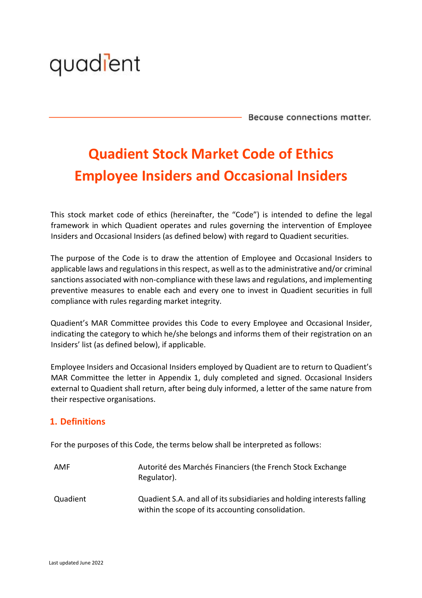

Because connections matter.

# **Quadient Stock Market Code of Ethics Employee Insiders and Occasional Insiders**

This stock market code of ethics (hereinafter, the "Code") is intended to define the legal framework in which Quadient operates and rules governing the intervention of Employee Insiders and Occasional Insiders (as defined below) with regard to Quadient securities.

The purpose of the Code is to draw the attention of Employee and Occasional Insiders to applicable laws and regulations in this respect, as well as to the administrative and/or criminal sanctions associated with non-compliance with these laws and regulations, and implementing preventive measures to enable each and every one to invest in Quadient securities in full compliance with rules regarding market integrity.

Quadient's MAR Committee provides this Code to every Employee and Occasional Insider, indicating the category to which he/she belongs and informs them of their registration on an Insiders' list (as defined below), if applicable.

Employee Insiders and Occasional Insiders employed by Quadient are to return to Quadient's MAR Committee the letter in Appendix 1, duly completed and signed. Occasional Insiders external to Quadient shall return, after being duly informed, a letter of the same nature from their respective organisations.

# **1. Definitions**

For the purposes of this Code, the terms below shall be interpreted as follows:

| AMF      | Autorité des Marchés Financiers (the French Stock Exchange<br>Regulator).                                                    |
|----------|------------------------------------------------------------------------------------------------------------------------------|
| Quadient | Quadient S.A. and all of its subsidiaries and holding interests falling<br>within the scope of its accounting consolidation. |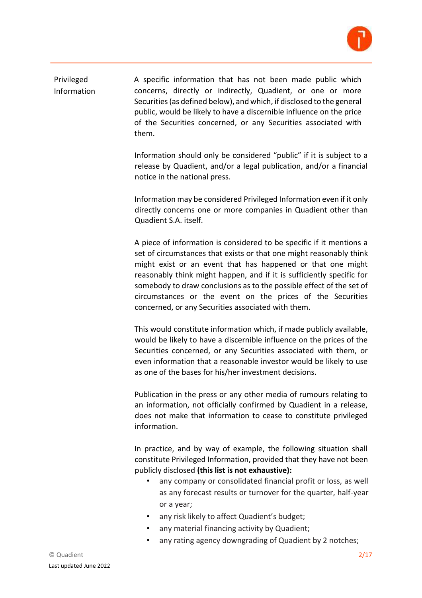

Privileged Information A specific information that has not been made public which concerns, directly or indirectly, Quadient, or one or more Securities (as defined below), and which, if disclosed to the general public, would be likely to have a discernible influence on the price of the Securities concerned, or any Securities associated with them.

> Information should only be considered "public" if it is subject to a release by Quadient, and/or a legal publication, and/or a financial notice in the national press.

> Information may be considered Privileged Information even if it only directly concerns one or more companies in Quadient other than Quadient S.A. itself.

> A piece of information is considered to be specific if it mentions a set of circumstances that exists or that one might reasonably think might exist or an event that has happened or that one might reasonably think might happen, and if it is sufficiently specific for somebody to draw conclusions as to the possible effect of the set of circumstances or the event on the prices of the Securities concerned, or any Securities associated with them.

> This would constitute information which, if made publicly available, would be likely to have a discernible influence on the prices of the Securities concerned, or any Securities associated with them, or even information that a reasonable investor would be likely to use as one of the bases for his/her investment decisions.

> Publication in the press or any other media of rumours relating to an information, not officially confirmed by Quadient in a release, does not make that information to cease to constitute privileged information.

> In practice, and by way of example, the following situation shall constitute Privileged Information, provided that they have not been publicly disclosed **(this list is not exhaustive):**

- *•* any company or consolidated financial profit or loss, as well as any forecast results or turnover for the quarter, half-year or a year;
- any risk likely to affect Quadient's budget;
- any material financing activity by Quadient;
- *•* any rating agency downgrading of Quadient by 2 notches;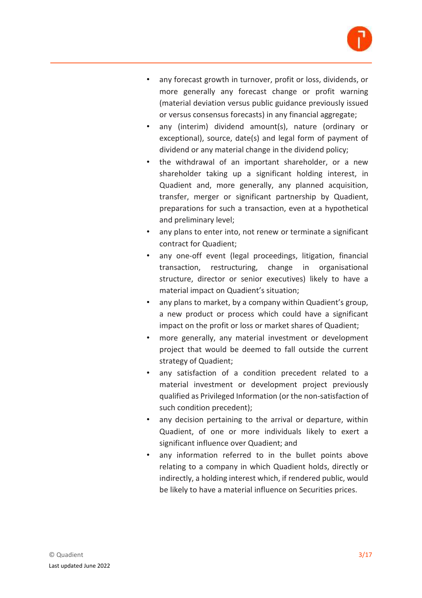

- *•* any forecast growth in turnover, profit or loss, dividends, or more generally any forecast change or profit warning (material deviation versus public guidance previously issued or versus consensus forecasts) in any financial aggregate;
- *•* any (interim) dividend amount(s), nature (ordinary or exceptional), source, date(s) and legal form of payment of dividend or any material change in the dividend policy;
- *•* the withdrawal of an important shareholder, or a new shareholder taking up a significant holding interest, in Quadient and, more generally, any planned acquisition, transfer, merger or significant partnership by Quadient, preparations for such a transaction, even at a hypothetical and preliminary level;
- *•* any plans to enter into, not renew or terminate a significant contract for Quadient;
- *•* any one-off event (legal proceedings, litigation, financial transaction, restructuring, change in organisational structure, director or senior executives) likely to have a material impact on Quadient's situation;
- any plans to market, by a company within Quadient's group, a new product or process which could have a significant impact on the profit or loss or market shares of Quadient;
- *•* more generally, any material investment or development project that would be deemed to fall outside the current strategy of Quadient;
- *•* any satisfaction of a condition precedent related to a material investment or development project previously qualified as Privileged Information (or the non-satisfaction of such condition precedent);
- *•* any decision pertaining to the arrival or departure, within Quadient, of one or more individuals likely to exert a significant influence over Quadient; and
- any information referred to in the bullet points above relating to a company in which Quadient holds, directly or indirectly, a holding interest which, if rendered public, would be likely to have a material influence on Securities prices.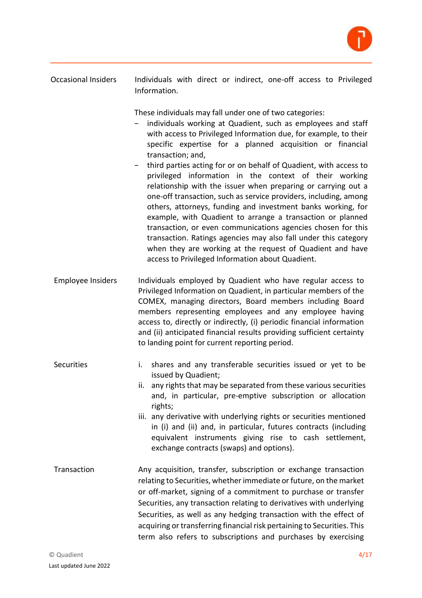

Occasional Insiders Individuals with direct or indirect, one-off access to Privileged Information.

These individuals may fall under one of two categories:

- individuals working at Quadient, such as employees and staff with access to Privileged Information due, for example, to their specific expertise for a planned acquisition or financial transaction; and,
- − third parties acting for or on behalf of Quadient, with access to privileged information in the context of their working relationship with the issuer when preparing or carrying out a one-off transaction, such as service providers, including, among others, attorneys, funding and investment banks working, for example, with Quadient to arrange a transaction or planned transaction, or even communications agencies chosen for this transaction. Ratings agencies may also fall under this category when they are working at the request of Quadient and have access to Privileged Information about Quadient.
- Employee Insiders Individuals employed by Quadient who have regular access to Privileged Information on Quadient, in particular members of the COMEX, managing directors, Board members including Board members representing employees and any employee having access to, directly or indirectly, (i) periodic financial information and (ii) anticipated financial results providing sufficient certainty to landing point for current reporting period.
- Securities i. shares and any transferable securities issued or yet to be issued by Quadient;
	- ii. any rights that may be separated from these various securities and, in particular, pre-emptive subscription or allocation rights;
	- iii. any derivative with underlying rights or securities mentioned in (i) and (ii) and, in particular, futures contracts (including equivalent instruments giving rise to cash settlement, exchange contracts (swaps) and options).
- Transaction Any acquisition, transfer, subscription or exchange transaction relating to Securities, whether immediate or future, on the market or off-market, signing of a commitment to purchase or transfer Securities, any transaction relating to derivatives with underlying Securities, as well as any hedging transaction with the effect of acquiring or transferring financial risk pertaining to Securities. This term also refers to subscriptions and purchases by exercising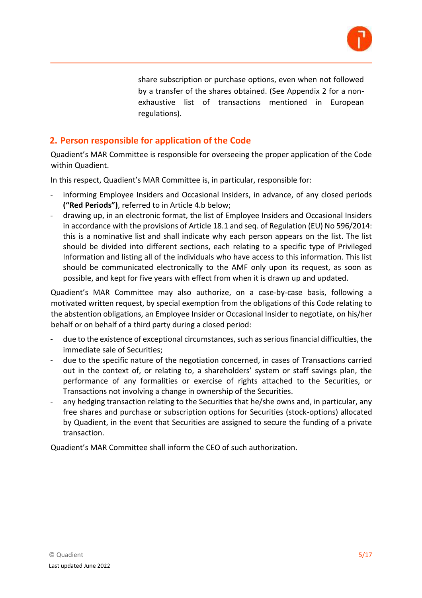

share subscription or purchase options, even when not followed by a transfer of the shares obtained. (See Appendix 2 for a nonexhaustive list of transactions mentioned in European regulations).

### **2. Person responsible for application of the Code**

Quadient's MAR Committee is responsible for overseeing the proper application of the Code within Quadient.

In this respect, Quadient's MAR Committee is, in particular, responsible for:

- informing Employee Insiders and Occasional Insiders, in advance, of any closed periods **("Red Periods")**, referred to in Article 4.b below;
- drawing up, in an electronic format, the list of Employee Insiders and Occasional Insiders in accordance with the provisions of Article 18.1 and seq. of Regulation (EU) No 596/2014: this is a nominative list and shall indicate why each person appears on the list. The list should be divided into different sections, each relating to a specific type of Privileged Information and listing all of the individuals who have access to this information. This list should be communicated electronically to the AMF only upon its request, as soon as possible, and kept for five years with effect from when it is drawn up and updated.

Quadient's MAR Committee may also authorize, on a case-by-case basis, following a motivated written request, by special exemption from the obligations of this Code relating to the abstention obligations, an Employee Insider or Occasional Insider to negotiate, on his/her behalf or on behalf of a third party during a closed period:

- due to the existence of exceptional circumstances, such as serious financial difficulties, the immediate sale of Securities;
- due to the specific nature of the negotiation concerned, in cases of Transactions carried out in the context of, or relating to, a shareholders' system or staff savings plan, the performance of any formalities or exercise of rights attached to the Securities, or Transactions not involving a change in ownership of the Securities.
- any hedging transaction relating to the Securities that he/she owns and, in particular, any free shares and purchase or subscription options for Securities (stock-options) allocated by Quadient, in the event that Securities are assigned to secure the funding of a private transaction.

Quadient's MAR Committee shall inform the CEO of such authorization.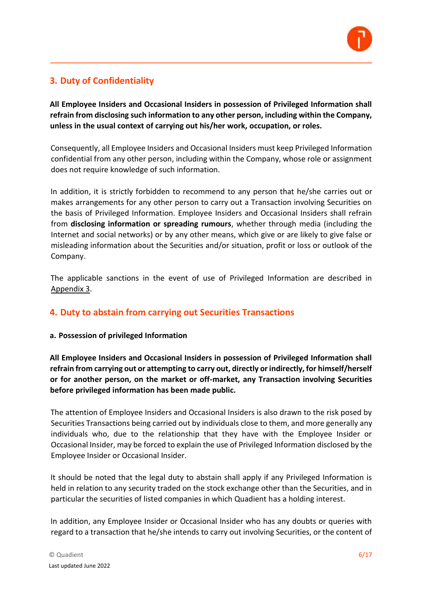

# **3. Duty of Confidentiality**

**All Employee Insiders and Occasional Insiders in possession of Privileged Information shall refrain from disclosing such information to any other person, including within the Company, unless in the usual context of carrying out his/her work, occupation, or roles.** 

Consequently, all Employee Insiders and Occasional Insiders must keep Privileged Information confidential from any other person, including within the Company, whose role or assignment does not require knowledge of such information.

In addition, it is strictly forbidden to recommend to any person that he/she carries out or makes arrangements for any other person to carry out a Transaction involving Securities on the basis of Privileged Information. Employee Insiders and Occasional Insiders shall refrain from **disclosing information or spreading rumours**, whether through media (including the Internet and social networks) or by any other means, which give or are likely to give false or misleading information about the Securities and/or situation, profit or loss or outlook of the Company.

The applicable sanctions in the event of use of Privileged Information are described in Appendix 3.

# **4. Duty to abstain from carrying out Securities Transactions**

### **a. Possession of privileged Information**

**All Employee Insiders and Occasional Insiders in possession of Privileged Information shall refrain from carrying out or attempting to carry out, directly or indirectly, for himself/herself or for another person, on the market or off-market, any Transaction involving Securities before privileged information has been made public.** 

The attention of Employee Insiders and Occasional Insiders is also drawn to the risk posed by Securities Transactions being carried out by individuals close to them, and more generally any individuals who, due to the relationship that they have with the Employee Insider or Occasional Insider, may be forced to explain the use of Privileged Information disclosed by the Employee Insider or Occasional Insider.

It should be noted that the legal duty to abstain shall apply if any Privileged Information is held in relation to any security traded on the stock exchange other than the Securities, and in particular the securities of listed companies in which Quadient has a holding interest.

In addition, any Employee Insider or Occasional Insider who has any doubts or queries with regard to a transaction that he/she intends to carry out involving Securities, or the content of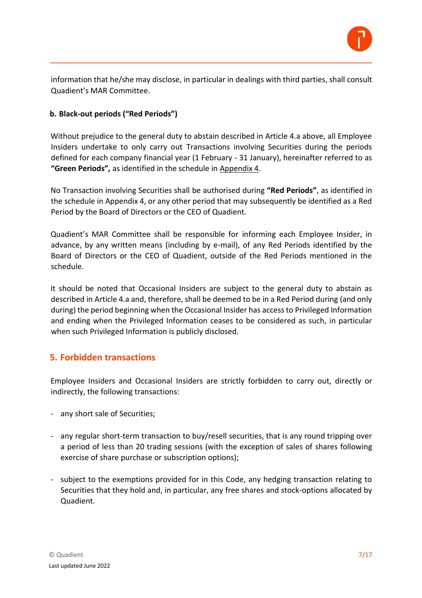

information that he/she may disclose, in particular in dealings with third parties, shall consult Quadient's MAR Committee.

### **b. Black-out periods ("Red Periods")**

Without prejudice to the general duty to abstain described in Article 4.a above, all Employee Insiders undertake to only carry out Transactions involving Securities during the periods defined for each company financial year (1 February - 31 January), hereinafter referred to as **"Green Periods",** as identified in the schedule in Appendix 4.

No Transaction involving Securities shall be authorised during **"Red Periods"**, as identified in the schedule in Appendix 4, or any other period that may subsequently be identified as a Red Period by the Board of Directors or the CEO of Quadient.

Quadient's MAR Committee shall be responsible for informing each Employee Insider, in advance, by any written means (including by e-mail), of any Red Periods identified by the Board of Directors or the CEO of Quadient, outside of the Red Periods mentioned in the schedule.

It should be noted that Occasional Insiders are subject to the general duty to abstain as described in Article 4.a and, therefore, shall be deemed to be in a Red Period during (and only during) the period beginning when the Occasional Insider has access to Privileged Information and ending when the Privileged Information ceases to be considered as such, in particular when such Privileged Information is publicly disclosed.

### **5. Forbidden transactions**

Employee Insiders and Occasional Insiders are strictly forbidden to carry out, directly or indirectly, the following transactions:

- any short sale of Securities;
- any regular short-term transaction to buy/resell securities, that is any round tripping over a period of less than 20 trading sessions (with the exception of sales of shares following exercise of share purchase or subscription options);
- subject to the exemptions provided for in this Code, any hedging transaction relating to Securities that they hold and, in particular, any free shares and stock-options allocated by Quadient.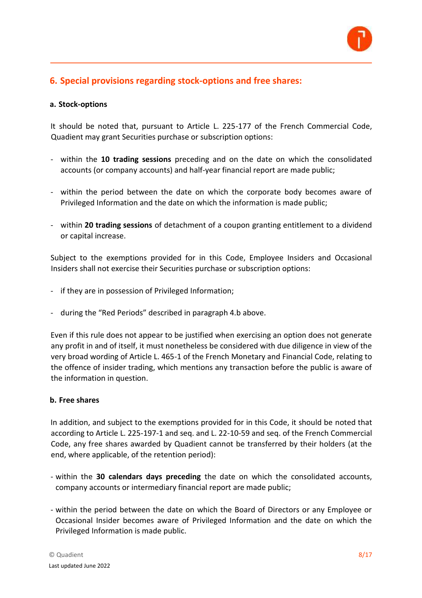

# **6. Special provisions regarding stock-options and free shares:**

#### **a. Stock-options**

It should be noted that, pursuant to Article L. 225-177 of the French Commercial Code, Quadient may grant Securities purchase or subscription options:

- within the **10 trading sessions** preceding and on the date on which the consolidated accounts (or company accounts) and half-year financial report are made public;
- within the period between the date on which the corporate body becomes aware of Privileged Information and the date on which the information is made public;
- within **20 trading sessions** of detachment of a coupon granting entitlement to a dividend or capital increase.

Subject to the exemptions provided for in this Code, Employee Insiders and Occasional Insiders shall not exercise their Securities purchase or subscription options:

- if they are in possession of Privileged Information;
- during the "Red Periods" described in paragraph 4.b above.

Even if this rule does not appear to be justified when exercising an option does not generate any profit in and of itself, it must nonetheless be considered with due diligence in view of the very broad wording of Article L. 465-1 of the French Monetary and Financial Code, relating to the offence of insider trading, which mentions any transaction before the public is aware of the information in question.

#### **b. Free shares**

In addition, and subject to the exemptions provided for in this Code, it should be noted that according to Article L. 225-197-1 and seq. and L. 22-10-59 and seq. of the French Commercial Code, any free shares awarded by Quadient cannot be transferred by their holders (at the end, where applicable, of the retention period):

- within the **30 calendars days preceding** the date on which the consolidated accounts, company accounts or intermediary financial report are made public;
- within the period between the date on which the Board of Directors or any Employee or Occasional Insider becomes aware of Privileged Information and the date on which the Privileged Information is made public.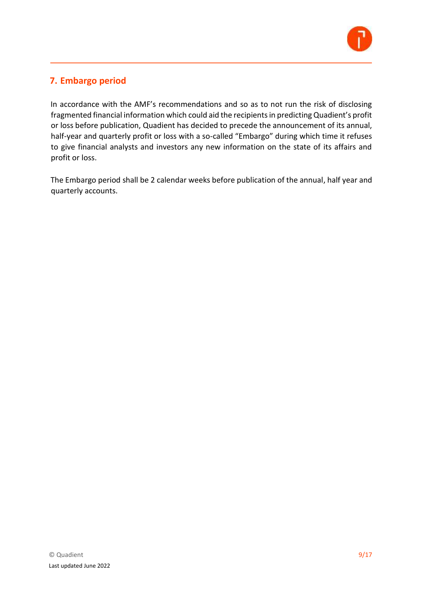

# **7. Embargo period**

In accordance with the AMF's recommendations and so as to not run the risk of disclosing fragmented financial information which could aid the recipients in predicting Quadient's profit or loss before publication, Quadient has decided to precede the announcement of its annual, half-year and quarterly profit or loss with a so-called "Embargo" during which time it refuses to give financial analysts and investors any new information on the state of its affairs and profit or loss.

The Embargo period shall be 2 calendar weeks before publication of the annual, half year and quarterly accounts.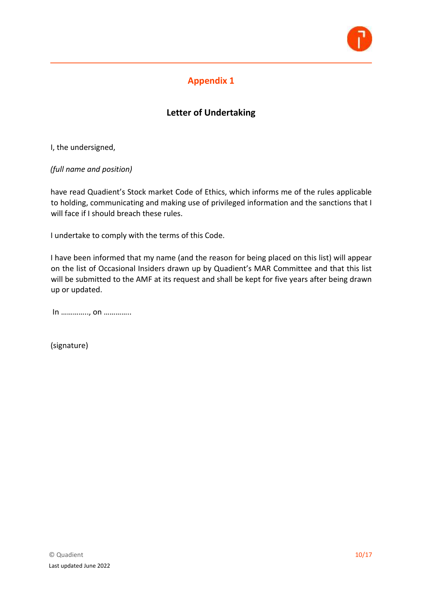

# **Letter of Undertaking**

I, the undersigned,

*(full name and position)* 

have read Quadient's Stock market Code of Ethics, which informs me of the rules applicable to holding, communicating and making use of privileged information and the sanctions that I will face if I should breach these rules.

I undertake to comply with the terms of this Code.

I have been informed that my name (and the reason for being placed on this list) will appear on the list of Occasional Insiders drawn up by Quadient's MAR Committee and that this list will be submitted to the AMF at its request and shall be kept for five years after being drawn up or updated.

In ………….., on …………..

(signature)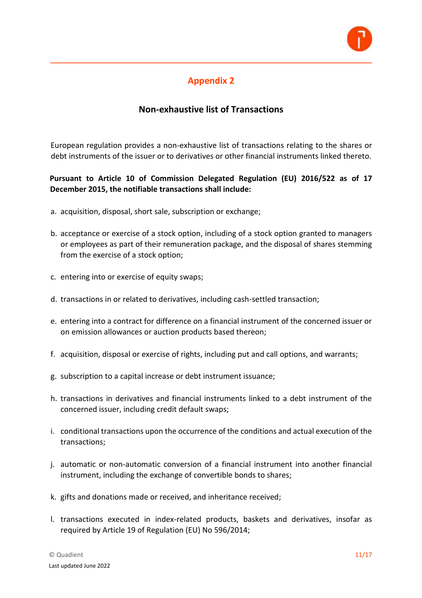

### **Non-exhaustive list of Transactions**

European regulation provides a non-exhaustive list of transactions relating to the shares or debt instruments of the issuer or to derivatives or other financial instruments linked thereto.

### **Pursuant to Article 10 of Commission Delegated Regulation (EU) 2016/522 as of 17 December 2015, the notifiable transactions shall include:**

- a. acquisition, disposal, short sale, subscription or exchange;
- b. acceptance or exercise of a stock option, including of a stock option granted to managers or employees as part of their remuneration package, and the disposal of shares stemming from the exercise of a stock option;
- c. entering into or exercise of equity swaps;
- d. transactions in or related to derivatives, including cash-settled transaction;
- e. entering into a contract for difference on a financial instrument of the concerned issuer or on emission allowances or auction products based thereon;
- f. acquisition, disposal or exercise of rights, including put and call options, and warrants;
- g. subscription to a capital increase or debt instrument issuance;
- h. transactions in derivatives and financial instruments linked to a debt instrument of the concerned issuer, including credit default swaps;
- i. conditional transactions upon the occurrence of the conditions and actual execution of the transactions;
- j. automatic or non-automatic conversion of a financial instrument into another financial instrument, including the exchange of convertible bonds to shares;
- k. gifts and donations made or received, and inheritance received;
- l. transactions executed in index-related products, baskets and derivatives, insofar as required by Article 19 of Regulation (EU) No 596/2014;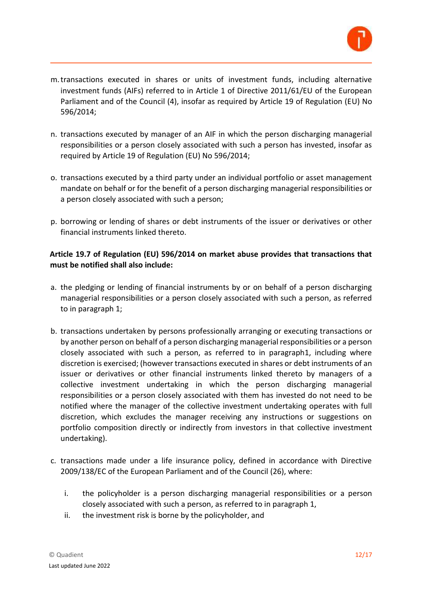

- m.transactions executed in shares or units of investment funds, including alternative investment funds (AIFs) referred to in Article 1 of Directive 2011/61/EU of the European Parliament and of the Council (4), insofar as required by Article 19 of Regulation (EU) No 596/2014;
- n. transactions executed by manager of an AIF in which the person discharging managerial responsibilities or a person closely associated with such a person has invested, insofar as required by Article 19 of Regulation (EU) No 596/2014;
- o. transactions executed by a third party under an individual portfolio or asset management mandate on behalf or for the benefit of a person discharging managerial responsibilities or a person closely associated with such a person;
- p. borrowing or lending of shares or debt instruments of the issuer or derivatives or other financial instruments linked thereto.

### **Article 19.7 of Regulation (EU) 596/2014 on market abuse provides that transactions that must be notified shall also include:**

- a. the pledging or lending of financial instruments by or on behalf of a person discharging managerial responsibilities or a person closely associated with such a person, as referred to in paragraph 1;
- b. transactions undertaken by persons professionally arranging or executing transactions or by another person on behalf of a person discharging managerial responsibilities or a person closely associated with such a person, as referred to in paragraph1, including where discretion is exercised; (however transactions executed in shares or debt instruments of an issuer or derivatives or other financial instruments linked thereto by managers of a collective investment undertaking in which the person discharging managerial responsibilities or a person closely associated with them has invested do not need to be notified where the manager of the collective investment undertaking operates with full discretion, which excludes the manager receiving any instructions or suggestions on portfolio composition directly or indirectly from investors in that collective investment undertaking).
- c. transactions made under a life insurance policy, defined in accordance with Directive 2009/138/EC of the European Parliament and of the Council (26), where:
	- i. the policyholder is a person discharging managerial responsibilities or a person closely associated with such a person, as referred to in paragraph 1,
	- ii. the investment risk is borne by the policyholder, and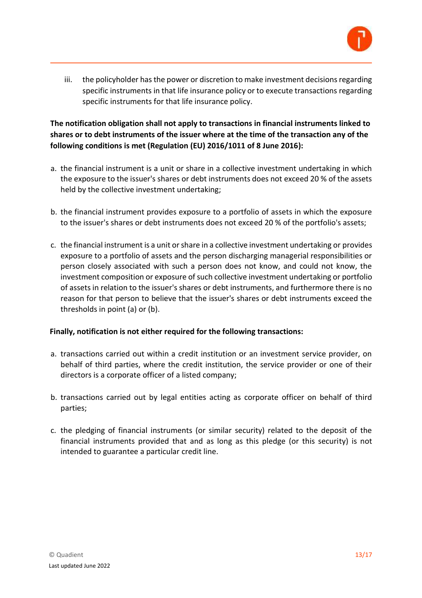

iii. the policyholder has the power or discretion to make investment decisions regarding specific instruments in that life insurance policy or to execute transactions regarding specific instruments for that life insurance policy.

### **The notification obligation shall not apply to transactions in financial instruments linked to shares or to debt instruments of the issuer where at the time of the transaction any of the following conditions is met (Regulation (EU) 2016/1011 of 8 June 2016):**

- a. the financial instrument is a unit or share in a collective investment undertaking in which the exposure to the issuer's shares or debt instruments does not exceed 20 % of the assets held by the collective investment undertaking;
- b. the financial instrument provides exposure to a portfolio of assets in which the exposure to the issuer's shares or debt instruments does not exceed 20 % of the portfolio's assets;
- c. the financial instrument is a unit or share in a collective investment undertaking or provides exposure to a portfolio of assets and the person discharging managerial responsibilities or person closely associated with such a person does not know, and could not know, the investment composition or exposure of such collective investment undertaking or portfolio of assets in relation to the issuer's shares or debt instruments, and furthermore there is no reason for that person to believe that the issuer's shares or debt instruments exceed the thresholds in point (a) or (b).

### **Finally, notification is not either required for the following transactions:**

- a. transactions carried out within a credit institution or an investment service provider, on behalf of third parties, where the credit institution, the service provider or one of their directors is a corporate officer of a listed company;
- b. transactions carried out by legal entities acting as corporate officer on behalf of third parties;
- c. the pledging of financial instruments (or similar security) related to the deposit of the financial instruments provided that and as long as this pledge (or this security) is not intended to guarantee a particular credit line.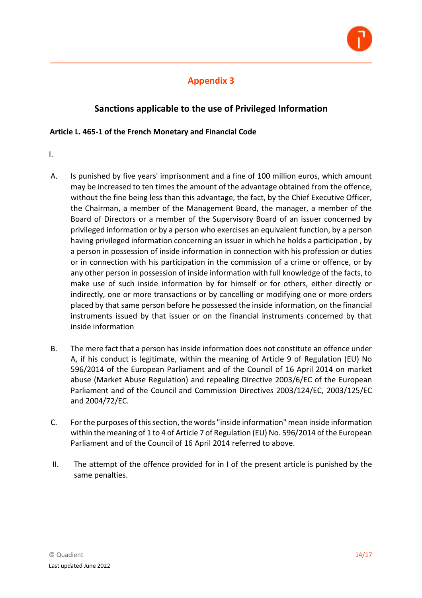

# **Sanctions applicable to the use of Privileged Information**

### **Article L. 465-1 of the French Monetary and Financial Code**

- I.
- A. Is punished by five years' imprisonment and a fine of 100 million euros, which amount may be increased to ten times the amount of the advantage obtained from the offence, without the fine being less than this advantage, the fact, by the Chief Executive Officer, the Chairman, a member of the Management Board, the manager, a member of the Board of Directors or a member of the Supervisory Board of an issuer concerned by privileged information or by a person who exercises an equivalent function, by a person having privileged information concerning an issuer in which he holds a participation , by a person in possession of inside information in connection with his profession or duties or in connection with his participation in the commission of a crime or offence, or by any other person in possession of inside information with full knowledge of the facts, to make use of such inside information by for himself or for others, either directly or indirectly, one or more transactions or by cancelling or modifying one or more orders placed by that same person before he possessed the inside information, on the financial instruments issued by that issuer or on the financial instruments concerned by that inside information
- B. The mere fact that a person has inside information does not constitute an offence under A, if his conduct is legitimate, within the meaning of Article 9 of Regulation (EU) No 596/2014 of the European Parliament and of the Council of 16 April 2014 on market abuse (Market Abuse Regulation) and repealing Directive 2003/6/EC of the European Parliament and of the Council and Commission Directives 2003/124/EC, 2003/125/EC and 2004/72/EC.
- C. For the purposes of this section, the words "inside information" mean inside information within the meaning of 1 to 4 of Article 7 of Regulation (EU) No. 596/2014 of the European Parliament and of the Council of 16 April 2014 referred to above.
- II. The attempt of the offence provided for in I of the present article is punished by the same penalties.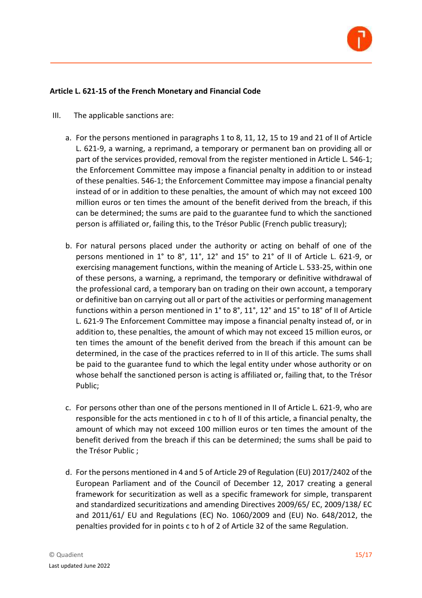

#### **Article L. 621-15 of the French Monetary and Financial Code**

- III. The applicable sanctions are:
	- a. For the persons mentioned in paragraphs 1 to 8, 11, 12, 15 to 19 and 21 of II of Article L. 621-9, a warning, a reprimand, a temporary or permanent ban on providing all or part of the services provided, removal from the register mentioned in Article L. 546-1; the Enforcement Committee may impose a financial penalty in addition to or instead of these penalties. 546-1; the Enforcement Committee may impose a financial penalty instead of or in addition to these penalties, the amount of which may not exceed 100 million euros or ten times the amount of the benefit derived from the breach, if this can be determined; the sums are paid to the guarantee fund to which the sanctioned person is affiliated or, failing this, to the Trésor Public (French public treasury);
	- b. For natural persons placed under the authority or acting on behalf of one of the persons mentioned in 1° to 8°, 11°, 12° and 15° to 21° of II of Article L. 621-9, or exercising management functions, within the meaning of Article L. 533-25, within one of these persons, a warning, a reprimand, the temporary or definitive withdrawal of the professional card, a temporary ban on trading on their own account, a temporary or definitive ban on carrying out all or part of the activities or performing management functions within a person mentioned in 1° to 8°, 11°, 12° and 15° to 18° of II of Article L. 621-9 The Enforcement Committee may impose a financial penalty instead of, or in addition to, these penalties, the amount of which may not exceed 15 million euros, or ten times the amount of the benefit derived from the breach if this amount can be determined, in the case of the practices referred to in II of this article. The sums shall be paid to the guarantee fund to which the legal entity under whose authority or on whose behalf the sanctioned person is acting is affiliated or, failing that, to the Trésor Public;
	- c. For persons other than one of the persons mentioned in II of Article L. 621-9, who are responsible for the acts mentioned in c to h of II of this article, a financial penalty, the amount of which may not exceed 100 million euros or ten times the amount of the benefit derived from the breach if this can be determined; the sums shall be paid to the Trésor Public ;
	- d. For the persons mentioned in 4 and 5 of Article 29 of Regulation (EU) 2017/2402 of the European Parliament and of the Council of December 12, 2017 creating a general framework for securitization as well as a specific framework for simple, transparent and standardized securitizations and amending Directives 2009/65/ EC, 2009/138/ EC and 2011/61/ EU and Regulations (EC) No. 1060/2009 and (EU) No. 648/2012, the penalties provided for in points c to h of 2 of Article 32 of the same Regulation.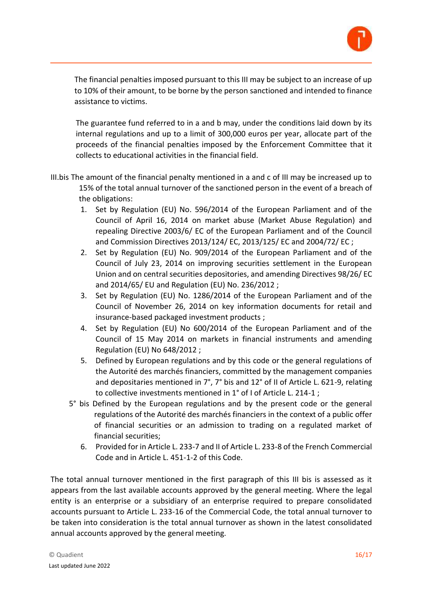

The financial penalties imposed pursuant to this III may be subject to an increase of up to 10% of their amount, to be borne by the person sanctioned and intended to finance assistance to victims.

The guarantee fund referred to in a and b may, under the conditions laid down by its internal regulations and up to a limit of 300,000 euros per year, allocate part of the proceeds of the financial penalties imposed by the Enforcement Committee that it collects to educational activities in the financial field.

- III.bis The amount of the financial penalty mentioned in a and c of III may be increased up to 15% of the total annual turnover of the sanctioned person in the event of a breach of the obligations:
	- 1. Set by Regulation (EU) No. 596/2014 of the European Parliament and of the Council of April 16, 2014 on market abuse (Market Abuse Regulation) and repealing Directive 2003/6/ EC of the European Parliament and of the Council and Commission Directives 2013/124/ EC, 2013/125/ EC and 2004/72/ EC ;
	- 2. Set by Regulation (EU) No. 909/2014 of the European Parliament and of the Council of July 23, 2014 on improving securities settlement in the European Union and on central securities depositories, and amending Directives 98/26/ EC and 2014/65/ EU and Regulation (EU) No. 236/2012 ;
	- 3. Set by Regulation (EU) No. 1286/2014 of the European Parliament and of the Council of November 26, 2014 on key information documents for retail and insurance-based packaged investment products ;
	- 4. Set by Regulation (EU) No 600/2014 of the European Parliament and of the Council of 15 May 2014 on markets in financial instruments and amending Regulation (EU) No 648/2012 ;
	- 5. Defined by European regulations and by this code or the general regulations of the Autorité des marchés financiers, committed by the management companies and depositaries mentioned in 7°, 7° bis and 12° of II of Article L. 621-9, relating to collective investments mentioned in 1° of I of Article L. 214-1 ;
	- 5° bis Defined by the European regulations and by the present code or the general regulations of the Autorité des marchés financiers in the context of a public offer of financial securities or an admission to trading on a regulated market of financial securities;
		- 6. Provided for in Article L. 233-7 and II of Article L. 233-8 of the French Commercial Code and in Article L. 451-1-2 of this Code.

The total annual turnover mentioned in the first paragraph of this III bis is assessed as it appears from the last available accounts approved by the general meeting. Where the legal entity is an enterprise or a subsidiary of an enterprise required to prepare consolidated accounts pursuant to Article L. 233-16 of the Commercial Code, the total annual turnover to be taken into consideration is the total annual turnover as shown in the latest consolidated annual accounts approved by the general meeting.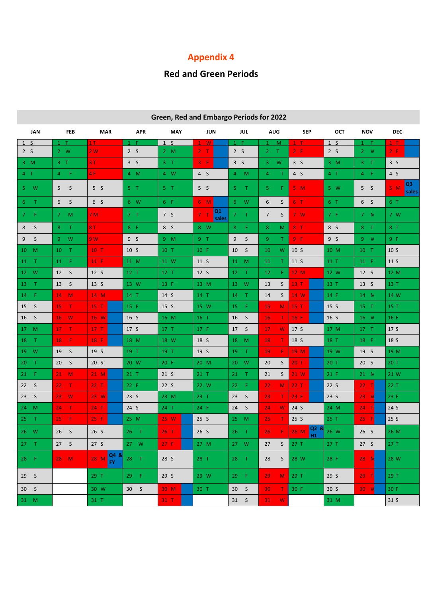# **Red and Green Periods**

| Green, Red and Embargo Ferious for 2022 |                                 |                 |                 |                 |                               |                          |                      |                |                 |                 |                               |  |
|-----------------------------------------|---------------------------------|-----------------|-----------------|-----------------|-------------------------------|--------------------------|----------------------|----------------|-----------------|-----------------|-------------------------------|--|
| <b>JAN</b>                              | <b>FEB</b>                      | <b>MAR</b>      | <b>APR</b>      | <b>MAY</b>      | <b>JUN</b>                    | JUL                      | <b>AUG</b>           | <b>SEP</b>     | OCT             | <b>NOV</b>      | <b>DEC</b>                    |  |
| 1 S                                     | $\top$<br>$\mathbf{1}$          | 1T              | $1 - F$         | 1 S             | W                             | $1 - F$                  | $-M$<br>$\mathbf{1}$ | $1$ T          | 1 <sup>5</sup>  | $1$ T           | 1 <sub>T</sub>                |  |
| 2 S                                     | $2 \quad W$                     | 2W              | 2S              | 2 M             | 2 <sub>1</sub>                | 2 S                      | $2$ T                | $2 - F$        | 2 <sub>5</sub>  | $2 - W$         | 2 F                           |  |
| $3 \, M$                                | 3 <sub>T</sub>                  | 3T              | 3S              | 3 <sub>T</sub>  | $3 - F$                       | 3S                       | W<br>3.              | 3 <sub>5</sub> | $3 \, M$        | 3 <sub>1</sub>  | 3 <sub>5</sub>                |  |
| 4 <sub>1</sub>                          | 4 F                             | 4F              | 4 M             | 4 W             | 4S                            | 4 M                      | $\overline{4}$<br>T. | 4S             | 4 <sub>1</sub>  | $4$ F           | 4 S                           |  |
| 5W                                      | S<br>5 <sup>1</sup>             | 5S              | 5 <sub>1</sub>  | 5 <sub>T</sub>  | 5S                            | $5 -$<br>- T             | F.<br>5.             | 5M             | 5 W             | 5S              | Q <sub>3</sub><br>5M<br>sales |  |
| 6T                                      | 6S                              | 6S              | 6 W             | 6 F             | 6M                            | $6 \t W$                 | 6<br>S               | $6-1$          | 6T              | 6S              | 6 T                           |  |
| $7-F$                                   | $7 \quad M$                     | 7M              | 7 <sub>T</sub>  | 7S              | Q1<br>7 <sub>1</sub><br>sales | 7 <sup>2</sup><br>$\top$ | $7\overline{ }$<br>S | 7 W            | 7 F             | 7 N             | 7 W                           |  |
| S<br>8                                  | $8$ T                           | 8T              | 8 F             | 8 S             | 8 W                           | 8 <sup>°</sup><br>-F.    | 8<br>M               | 8T             | 8 S             | $8$ T           | 8T                            |  |
| 9S                                      | $9-W$                           | 9 W             | 9S              | $9$ M           | 9 <sub>T</sub>                | $\sf S$<br>9             | 9<br>T.              | 9 F            | 9 <sub>5</sub>  | 9 N             | 9 F                           |  |
| 10 M                                    | $10$ T                          | $10$ T          | 10 <sub>5</sub> | 10 T            | 10 F                          | $\mathsf{S}$<br>10       | 10<br>W              | 10 S           | 10 M            | $10$ T          | 10 <sub>5</sub>               |  |
| $11$ T                                  | $11$ F                          | 11 F            | 11 M            | 11 W            | 11 S                          | 11 M                     | 11<br>T.             | 11 S           | 11 T            | 11 F            | 11 S                          |  |
| 12 W                                    | 12S                             | 12 S            | $12$ T          | $12$ T          | 12 <sub>5</sub>               | $12$ T                   | 12<br>F.             | 12 M           | 12 W            | 12 S            | 12 M                          |  |
| $13$ T                                  | 13 S                            | 13 S            | 13 W            | 13 F            | 13 M                          | 13 W                     | S<br>13              | 13 T           | 13 T            | 13 S            | 13 T                          |  |
| $14$ F                                  | $14 \quad M$                    | 14 M            | 14 T            | 14 S            | 14 T                          | $14$ T                   | 14<br>S              | 14 W           | 14 F            | 14 N            | 14 W                          |  |
| 15 S                                    | $15$ T                          | $15$ T          | 15 F            | 15 S            | 15 W                          | 15 <sup>2</sup><br>F.    | 15<br>M.             | 15T            | 15 S            | 15 T            | 15 T                          |  |
| 16 <sub>5</sub>                         | 16 W                            | 16 W            | 16 S            | 16 M            | 16 T                          | 16<br>S                  | т<br><b>16</b>       | 16 F           | 16 S            | 16 W            | 16 F                          |  |
| 17 M                                    | $17$ T                          | 17T             | 17 S            | 17T             | 17 F                          | 17 S                     | 17<br>W              | 17 S           | 17 M            | 17 <sub>T</sub> | 17 S                          |  |
| 18 T                                    | - F 1<br>18 <sup>1</sup>        | 18 F            | 18 M            | 18 W            | 18 S                          | $18$ M                   | <b>18</b><br>T.      | 18 S           | 18 T            | 18 F            | 18 S                          |  |
| $19$ W                                  | 19 S                            | 19 S            | 19 T            | 19 T            | 19 S                          | 19 T                     | 19<br>F.             | 19 M           | 19 W            | 19 S            | 19 M                          |  |
| $20$ T                                  | 20 S                            | 20 <sub>5</sub> | 20 W            | 20 F            | 20 M                          | 20 W                     | 20<br>S              | 20T            | 20T             | 20 S            | 20T                           |  |
| 21 F                                    | $21$ M                          | 21 M            | $21$ T          | 21 <sub>5</sub> | $21$ T                        | $21 \quad T$             | S<br>21              | 21 W           | 21 F            | 21 N            | 21 W                          |  |
| 22 S                                    | $\mathbf{T}$<br>22 <sub>1</sub> | $22$ T          | 22 F            | 22S             | 22 W                          | - F<br>22                | 22<br>M              | 22T            | 22 S            | $22$ T          | 22 T                          |  |
| 23S                                     | $23 \quad W$                    | 23 W            | 23S             | 23 M            | $23$ T                        | 23 S                     | 23<br>T.             | 23 F           | 23S             | 23 W            | 23 F                          |  |
| 24 M                                    | $24$ T                          | $24$ T          | 24 S            | $24$ T          | 24 F                          | 24S                      | 24<br>W              | 24 S           | 24 M            | $24$ T          | 24 S                          |  |
| $25$ T                                  | $25 - F$                        | 25 F            | 25 M            | 25 W            | 25S                           | 25 M                     | T<br>25              | 25 S           | 25 T            | 25 F            | 25S                           |  |
| 26 W                                    | 26S                             | 26S             | $26$ T          | 26T             | 26S                           | $26$ T                   | 26<br>F.             | Q2&<br>26 M    | 26 W            | 26S             | 26 M                          |  |
| $27$ T                                  | 27S                             | 27S             | 27 W            | 27 F            | 27 M                          | 27 W                     | 27<br>S              | 27T            | 27 T            | 27S             | 27T                           |  |
| 28 F                                    | $28$ M                          | 28 M Q4 &       | 28 T            | 28 S            | 28 T                          | $28$ T                   | 28<br>S              | 28 W           | 28 F            | 28 N            | 28 W                          |  |
| 29S                                     |                                 | 29 T            | $29$ F          | 29 S            | 29 W                          | $29$ F                   | 29<br>M              | 29T            | 29 <sub>5</sub> | $29$ T          | 29 T                          |  |
| 30 S                                    |                                 | 30 W            | 30 <sub>5</sub> | 30 M            | 30 T                          | 30 <sub>5</sub>          | 30<br>$\mathsf{T}$   | 30 F           | 30 <sub>5</sub> | 30 <sub>W</sub> | 30 F                          |  |
| 31 M                                    |                                 | 31 T            |                 | $31$ T          |                               | 31 S                     | W<br>31              |                | 31 M            |                 | 31 S                          |  |

### **Green, Red and Embargo Periods for 2022**